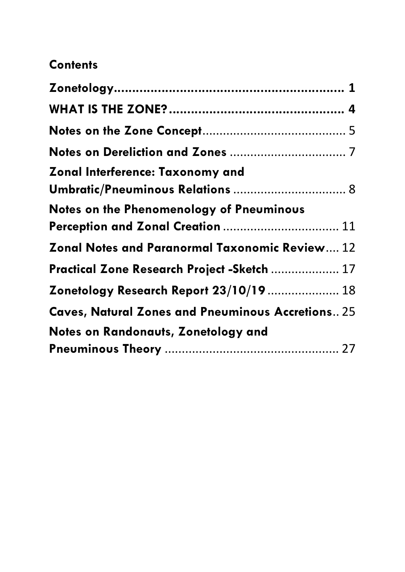# **Contents**

| Zonal Interference: Taxonomy and                         |
|----------------------------------------------------------|
|                                                          |
| <b>Notes on the Phenomenology of Pneuminous</b>          |
| Perception and Zonal Creation  11                        |
| Zonal Notes and Paranormal Taxonomic Review 12           |
| Practical Zone Research Project -Sketch  17              |
| Zonetology Research Report 23/10/19  18                  |
| <b>Caves, Natural Zones and Pneuminous Accretions 25</b> |
| Notes on Randonauts, Zonetology and                      |
|                                                          |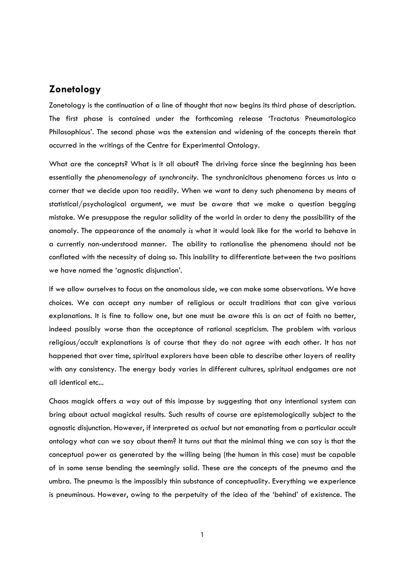## <span id="page-1-0"></span>**Zonetology**

Zonetology is the continuation of a line of thought that now begins its third phase of description. The first phase is contained under the forthcoming release 'Tractatus Pneumatologico Philosophicus'. The second phase was the extension and widening of the concepts therein that occurred in the writings of the Centre for Experimental Ontology.

What are the concepts? What is it all about? The driving force since the beginning has been essentially the *phenomenology of synchroncity*. The synchronicitous phenomena forces us into a corner that we decide upon too readily. When we want to deny such phenomena by means of statistical/psychological argument, we must be aware that we make a question begging mistake. We presuppose the regular solidity of the world in order to deny the possibility of the anomaly. The appearance of the anomaly *is* what it would look like for the world to behave in a currently non-understood manner. The ability to rationalise the phenomena should not be conflated with the necessity of doing so. This inability to differentiate between the two positions we have named the 'agnostic disjunction'.

If we allow ourselves to focus on the anomalous side, we can make some observations. We have choices. We can accept any number of religious or occult traditions that can give various explanations. It is fine to follow one, but one must be aware this is an act of faith no better, indeed possibly worse than the acceptance of rational scepticism. The problem with various religious/occult explanations is of course that they do not agree with each other. It has not happened that over time, spiritual explorers have been able to describe other layers of reality with any consistency. The energy body varies in different cultures, spiritual endgames are not all identical etc...

Chaos magick offers a way out of this impasse by suggesting that any intentional system can bring about actual magickal results. Such results of course are epistemologically subject to the agnostic disjunction. However, if interpreted as *actual* but not emanating from a particular occult ontology what can we say about them? It turns out that the minimal thing we can say is that the conceptual power as generated by the willing being (the human in this case) must be capable of in some sense bending the seemingly solid. These are the concepts of the pneuma and the umbra. The pneuma is the impossibly thin substance of conceptuality. Everything we experience is pneuminous. However, owing to the perpetuity of the idea of the 'behind' of existence. The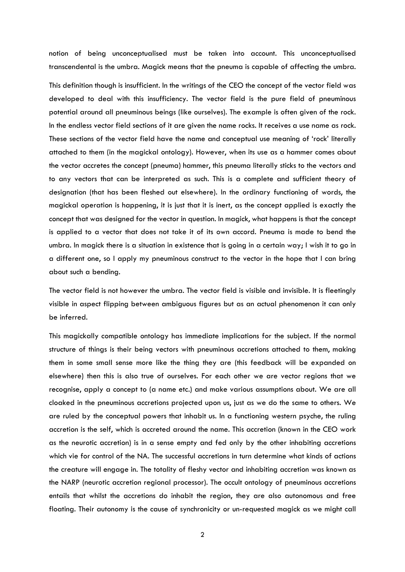notion of being unconceptualised must be taken into account. This unconceptualised transcendental is the umbra. Magick means that the pneuma is capable of affecting the umbra.

This definition though is insufficient. In the writings of the CEO the concept of the vector field was developed to deal with this insufficiency. The vector field is the pure field of pneuminous potential around all pneuminous beings (like ourselves). The example is often given of the rock. In the endless vector field sections of it are given the name rocks. It receives a use name as rock. These sections of the vector field have the name and conceptual use meaning of 'rock' literally attached to them (in the magickal ontology). However, when its use as a hammer comes about the vector accretes the concept (pneuma) hammer, this pneuma literally sticks to the vectors and to any vectors that can be interpreted as such. This is a complete and sufficient theory of designation (that has been fleshed out elsewhere). In the ordinary functioning of words, the magickal operation is happening, it is just that it is inert, as the concept applied is exactly the concept that was designed for the vector in question. In magick, what happens is that the concept is applied to a vector that does not take it of its own accord. Pneuma is made to bend the umbra. In magick there is a situation in existence that is going in a certain way; I wish it to go in a different one, so I apply my pneuminous construct to the vector in the hope that I can bring about such a bending.

The vector field is not however the umbra. The vector field is visible and invisible. It is fleetingly visible in aspect flipping between ambiguous figures but as an actual phenomenon it can only be inferred.

This magickally compatible ontology has immediate implications for the subject. If the normal structure of things is their being vectors with pneuminous accretions attached to them, making them in some small sense more like the thing they are (this feedback will be expanded on elsewhere) then this is also true of ourselves. For each other we are vector regions that we recognise, apply a concept to (a name etc.) and make various assumptions about. We are all cloaked in the pneuminous accretions projected upon us, just as we do the same to others. We are ruled by the conceptual powers that inhabit us. In a functioning western psyche, the ruling accretion is the self, which is accreted around the name. This accretion (known in the CEO work as the neurotic accretion) is in a sense empty and fed only by the other inhabiting accretions which vie for control of the NA. The successful accretions in turn determine what kinds of actions the creature will engage in. The totality of fleshy vector and inhabiting accretion was known as the NARP (neurotic accretion regional processor). The occult ontology of pneuminous accretions entails that whilst the accretions do inhabit the region, they are also autonomous and free floating. Their autonomy is the cause of synchronicity or un-requested magick as we might call

2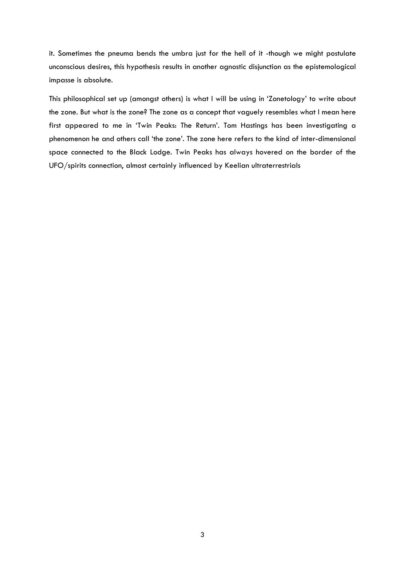it. Sometimes the pneuma bends the umbra just for the hell of it -though we might postulate unconscious desires, this hypothesis results in another agnostic disjunction as the epistemological impasse is absolute.

This philosophical set up (amongst others) is what I will be using in 'Zonetology' to write about the zone. But what is the zone? The zone as a concept that vaguely resembles what I mean here first appeared to me in 'Twin Peaks: The Return'. Tom Hastings has been investigating a phenomenon he and others call 'the zone'. The zone here refers to the kind of inter-dimensional space connected to the Black Lodge. Twin Peaks has always hovered on the border of the UFO/spirits connection, almost certainly influenced by Keelian ultraterrestrials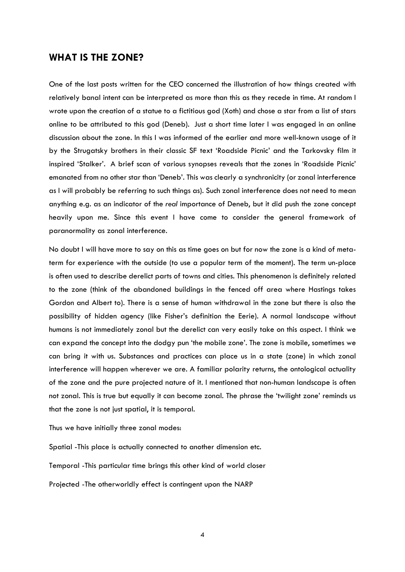## <span id="page-4-0"></span>**WHAT IS THE ZONE?**

One of the last posts written for the CEO concerned the illustration of how things created with relatively banal intent can be interpreted as more than this as they recede in time. At random I wrote upon the creation of a statue to a fictitious god (Xoth) and chose a star from a list of stars online to be attributed to this god (Deneb). Just a short time later I was engaged in an online discussion about the zone. In this I was informed of the earlier and more well-known usage of it by the Strugatsky brothers in their classic SF text 'Roadside Picnic' and the Tarkovsky film it inspired 'Stalker'. A brief scan of various synopses reveals that the zones in 'Roadside Picnic' emanated from no other star than 'Deneb'. This was clearly a synchronicity (or zonal interference as I will probably be referring to such things as). Such zonal interference does not need to mean anything e.g. as an indicator of the *real* importance of Deneb, but it did push the zone concept heavily upon me. Since this event I have come to consider the general framework of paranormality as zonal interference.

No doubt I will have more to say on this as time goes on but for now the zone is a kind of metaterm for experience with the outside (to use a popular term of the moment). The term un-place is often used to describe derelict parts of towns and cities. This phenomenon is definitely related to the zone (think of the abandoned buildings in the fenced off area where Hastings takes Gordon and Albert to). There is a sense of human withdrawal in the zone but there is also the possibility of hidden agency (like Fisher's definition the Eerie). A normal landscape without humans is not immediately zonal but the derelict can very easily take on this aspect. I think we can expand the concept into the dodgy pun 'the mobile zone'. The zone is mobile, sometimes we can bring it with us. Substances and practices can place us in a state (zone) in which zonal interference will happen wherever we are. A familiar polarity returns, the ontological actuality of the zone and the pure projected nature of it. I mentioned that non-human landscape is often not zonal. This is true but equally it can become zonal. The phrase the 'twilight zone' reminds us that the zone is not just spatial, it is temporal.

Thus we have initially three zonal modes:

Spatial -This place is actually connected to another dimension etc.

Temporal -This particular time brings this other kind of world closer

Projected -The otherworldly effect is contingent upon the NARP

4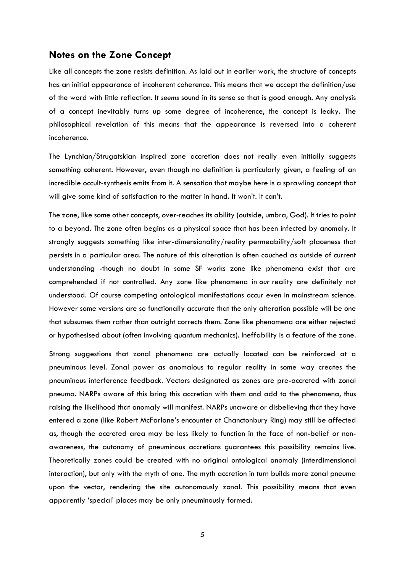#### <span id="page-5-0"></span>**Notes on the Zone Concept**

Like all concepts the zone resists definition. As laid out in earlier work, the structure of concepts has an initial appearance of incoherent coherence. This means that we accept the definition/use of the word with little reflection. It *seems* sound in its sense so that is good enough. Any analysis of a concept inevitably turns up some degree of incoherence, the concept is leaky. The philosophical revelation of this means that the appearance is reversed into a coherent incoherence.

The Lynchian/Strugatskian inspired zone accretion does not really even initially suggests something coherent. However, even though no definition is particularly given, a feeling of an incredible occult-synthesis emits from it. A sensation that maybe here is a sprawling concept that will give some kind of satisfaction to the matter in hand. It won't. It can't.

The zone, like some other concepts, over-reaches its ability (outside, umbra, God). It tries to point to a beyond. The zone often begins as a physical space that has been infected by anomaly. It strongly suggests something like inter-dimensionality/reality permeability/soft placeness that persists in a particular area. The nature of this alteration is often couched as outside of current understanding -though no doubt in some SF works zone like phenomena exist that are comprehended if not controlled. Any zone like phenomena in *our* reality are definitely not understood. Of course competing ontological manifestations occur even in mainstream science. However some versions are so functionally accurate that the only alteration possible will be one that subsumes them rather than outright corrects them. Zone like phenomena are either rejected or hypothesised about (often involving quantum mechanics). Ineffability is a feature of the zone.

Strong suggestions that zonal phenomena are actually located can be reinforced at a pneuminous level. Zonal power as anomalous to regular reality in some way creates the pneuminous interference feedback. Vectors designated as zones are pre-accreted with zonal pneuma. NARPs aware of this bring this accretion with them and add to the phenomena, thus raising the likelihood that anomaly will manifest. NARPs unaware or disbelieving that they have entered a zone (like Robert McFarlane's encounter at Chanctonbury Ring) may still be affected as, though the accreted area may be less likely to function in the face of non-belief or nonawareness, the autonomy of pneuminous accretions guarantees this possibility remains live. Theoretically zones could be created with no original ontological anomaly (interdimensional interaction), but only with the myth of one. The myth accretion in turn builds more zonal pneuma upon the vector, rendering the site autonomously zonal. This possibility means that even apparently 'special' places may be only pneuminously formed.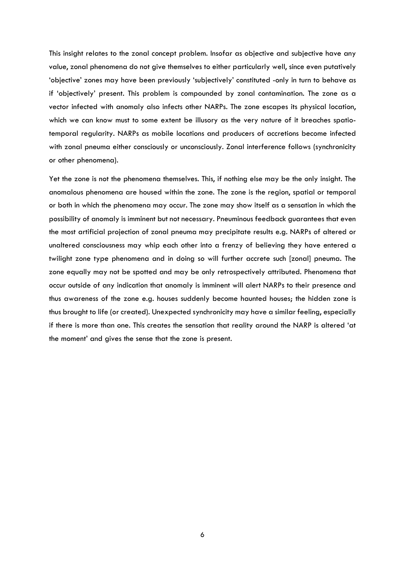This insight relates to the zonal concept problem. Insofar as objective and subjective have any value, zonal phenomena do not give themselves to either particularly well, since even putatively 'objective' zones may have been previously 'subjectively' constituted -only in turn to behave as if 'objectively' present. This problem is compounded by zonal contamination. The zone as a vector infected with anomaly also infects other NARPs. The zone escapes its physical location, which we can know must to some extent be illusory as the very nature of it breaches spatiotemporal regularity. NARPs as mobile locations and producers of accretions become infected with zonal pneuma either consciously or unconsciously. Zonal interference follows (synchronicity or other phenomena).

Yet the zone is not the phenomena themselves. This, if nothing else may be the only insight. The anomalous phenomena are housed within the zone. The zone is the region, spatial or temporal or both in which the phenomena may occur. The zone may show itself as a sensation in which the possibility of anomaly is imminent but not necessary. Pneuminous feedback guarantees that even the most artificial projection of zonal pneuma may precipitate results e.g. NARPs of altered or unaltered consciousness may whip each other into a frenzy of believing they have entered a twilight zone type phenomena and in doing so will further accrete such [zonal] pneuma. The zone equally may not be spotted and may be only retrospectively attributed. Phenomena that occur outside of any indication that anomaly is imminent will alert NARPs to their presence and thus awareness of the zone e.g. houses suddenly become haunted houses; the hidden zone is thus brought to life (or created). Unexpected synchronicity may have a similar feeling, especially if there is more than one. This creates the sensation that reality around the NARP is altered 'at the moment' and gives the sense that the zone is present.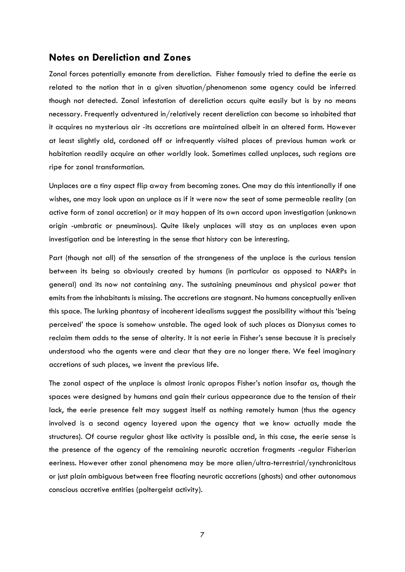#### <span id="page-7-0"></span>**Notes on Dereliction and Zones**

Zonal forces potentially emanate from dereliction. Fisher famously tried to define the eerie as related to the notion that in a given situation/phenomenon some agency could be inferred though not detected. Zonal infestation of dereliction occurs quite easily but is by no means necessary. Frequently adventured in/relatively recent dereliction can become so inhabited that it acquires no mysterious air -its accretions are maintained albeit in an altered form. However at least slightly old, cordoned off or infrequently visited places of previous human work or habitation readily acquire an other worldly look. Sometimes called unplaces, such regions are ripe for zonal transformation.

Unplaces are a tiny aspect flip away from becoming zones. One may do this intentionally if one wishes, one may look upon an unplace as if it were now the seat of some permeable reality (an active form of zonal accretion) or it may happen of its own accord upon investigation (unknown origin -umbratic or pneuminous). Quite likely unplaces will stay as an unplaces even upon investigation and be interesting in the sense that history can be interesting.

Part (though not all) of the sensation of the strangeness of the unplace is the curious tension between its being so obviously created by humans (in particular as opposed to NARPs in general) and its now not containing any. The sustaining pneuminous and physical power that emits from the inhabitants is missing. The accretions are stagnant. No humans conceptually enliven this space. The lurking phantasy of incoherent idealisms suggest the possibility without this 'being perceived' the space is somehow unstable. The aged look of such places as Dionysus comes to reclaim them adds to the sense of alterity. It is not eerie in Fisher's sense because it is precisely understood who the agents were and clear that they are no longer there. We feel imaginary accretions of such places, we invent the previous life.

The zonal aspect of the unplace is almost ironic apropos Fisher's notion insofar as, though the spaces were designed by humans and gain their curious appearance due to the tension of their lack, the eerie presence felt may suggest itself as nothing remotely human (thus the agency involved is a second agency layered upon the agency that we know actually made the structures). Of course regular ghost like activity is possible and, in this case, the eerie sense is the presence of the agency of the remaining neurotic accretion fragments -regular Fisherian eeriness. However other zonal phenomena may be more alien/ultra-terrestrial/synchronicitous or just plain ambiguous between free floating neurotic accretions (ghosts) and other autonomous conscious accretive entities (poltergeist activity).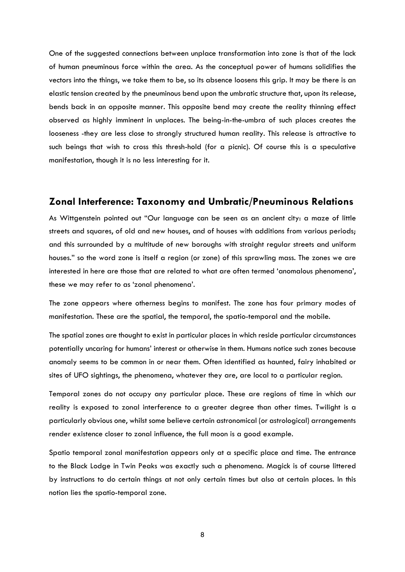One of the suggested connections between unplace transformation into zone is that of the lack of human pneuminous force within the area. As the conceptual power of humans solidifies the vectors into the things, we take them to be, so its absence loosens this grip. It may be there is an elastic tension created by the pneuminous bend upon the umbratic structure that, upon its release, bends back in an opposite manner. This opposite bend may create the reality thinning effect observed as highly imminent in unplaces. The being-in-the-umbra of such places creates the looseness -they are less close to strongly structured human reality. This release is attractive to such beings that wish to cross this thresh-hold (for a picnic). Of course this is a speculative manifestation, though it is no less interesting for it.

### <span id="page-8-0"></span>**Zonal Interference: Taxonomy and Umbratic/Pneuminous Relations**

As Wittgenstein pointed out "Our language can be seen as an ancient city: a maze of little streets and squares, of old and new houses, and of houses with additions from various periods; and this surrounded by a multitude of new boroughs with straight regular streets and uniform houses." so the word zone is itself a region (or zone) of this sprawling mass. The zones we are interested in here are those that are related to what are often termed 'anomalous phenomena', these we may refer to as 'zonal phenomena'.

The zone appears where otherness begins to manifest. The zone has four primary modes of manifestation. These are the spatial, the temporal, the spatio-temporal and the mobile.

The spatial zones are thought to exist in particular places in which reside particular circumstances potentially uncaring for humans' interest or otherwise in them. Humans notice such zones because anomaly seems to be common in or near them. Often identified as haunted, fairy inhabited or sites of UFO sightings, the phenomena, whatever they are, are local to a particular region.

Temporal zones do not occupy any particular place. These are regions of time in which our reality is exposed to zonal interference to a greater degree than other times. Twilight is a particularly obvious one, whilst some believe certain astronomical (or astrological) arrangements render existence closer to zonal influence, the full moon is a good example.

Spatio temporal zonal manifestation appears only at a specific place and time. The entrance to the Black Lodge in Twin Peaks was exactly such a phenomena. Magick is of course littered by instructions to do certain things at not only certain times but also at certain places. In this notion lies the spatio-temporal zone.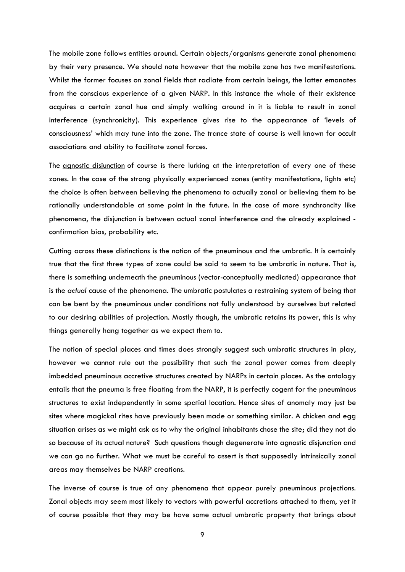The mobile zone follows entities around. Certain objects/organisms generate zonal phenomena by their very presence. We should note however that the mobile zone has two manifestations. Whilst the former focuses on zonal fields that radiate from certain beings, the latter emanates from the conscious experience of a given NARP. In this instance the whole of their existence acquires a certain zonal hue and simply walking around in it is liable to result in zonal interference (synchronicity). This experience gives rise to the appearance of 'levels of consciousness' which may tune into the zone. The trance state of course is well known for occult associations and ability to facilitate zonal forces.

The [agnostic disjunction](https://zonetology.com/what-is-zonetology/) of course is there lurking at the interpretation of every one of these zones. In the case of the strong physically experienced zones (entity manifestations, lights etc) the choice is often between believing the phenomena to actually zonal or believing them to be rationally understandable at some point in the future. In the case of more synchroncity like phenomena, the disjunction is between actual zonal interference and the already explained confirmation bias, probability etc.

Cutting across these distinctions is the notion of the pneuminous and the umbratic. It is certainly true that the first three types of zone could be said to seem to be umbratic in nature. That is, there is something underneath the pneuminous (vector-conceptually mediated) appearance that is the *actual* cause of the phenomena. The umbratic postulates a restraining system of being that can be bent by the pneuminous under conditions not fully understood by ourselves but related to our desiring abilities of projection. Mostly though, the umbratic retains its power, this is why things generally hang together as we expect them to.

The notion of special places and times does strongly suggest such umbratic structures in play, however we cannot rule out the possibility that such the zonal power comes from deeply imbedded pneuminous accretive structures created by NARPs in certain places. As the ontology entails that the pneuma is free floating from the NARP, it is perfectly cogent for the pneuminous structures to exist independently in some spatial location. Hence sites of anomaly may just be sites where magickal rites have previously been made or something similar. A chicken and egg situation arises as we might ask as to why the original inhabitants chose the site; did they not do so because of its actual nature? Such questions though degenerate into agnostic disjunction and we can go no further. What we must be careful to assert is that supposedly intrinsically zonal areas may themselves be NARP creations.

The inverse of course is true of any phenomena that appear purely pneuminous projections. Zonal objects may seem most likely to vectors with powerful accretions attached to them, yet it of course possible that they may be have some actual umbratic property that brings about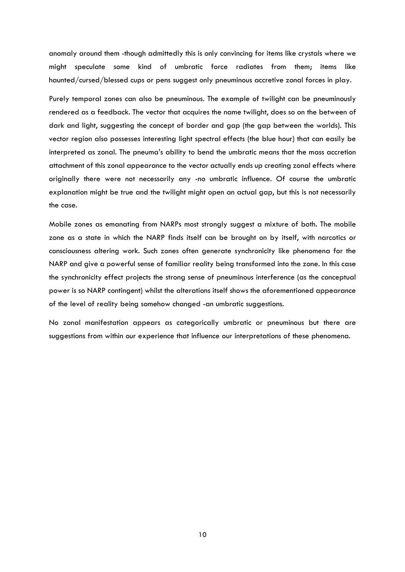anomaly around them -though admittedly this is only convincing for items like crystals where we might speculate some kind of umbratic force radiates from them; items like haunted/cursed/blessed cups or pens suggest only pneuminous accretive zonal forces in play.

Purely temporal zones can also be pneuminous. The example of twilight can be pneuminously rendered as a feedback. The vector that acquires the name twilight, does so on the between of dark and light, suggesting the concept of border and gap (the gap between the worlds). This vector region also possesses interesting light spectral effects (the blue hour) that can easily be interpreted as zonal. The pneuma's ability to bend the umbratic means that the mass accretion attachment of this zonal appearance to the vector actually ends up creating zonal effects where originally there were not necessarily any -no umbratic influence. Of course the umbratic explanation might be true and the twilight might open an actual gap, but this is not necessarily the case.

Mobile zones as emanating from NARPs most strongly suggest a mixture of both. The mobile zone as a state in which the NARP finds itself can be brought on by itself, with narcotics or consciousness altering work. Such zones often generate synchronicity like phenomena for the NARP and give a powerful sense of familiar reality being transformed into the zone. In this case the synchronicity effect projects the strong sense of pneuminous interference (as the conceptual power is so NARP contingent) whilst the alterations itself shows the aforementioned appearance of the level of reality being somehow changed -an umbratic suggestions.

No zonal manifestation appears as categorically umbratic or pneuminous but there are suggestions from within our experience that influence our interpretations of these phenomena.

10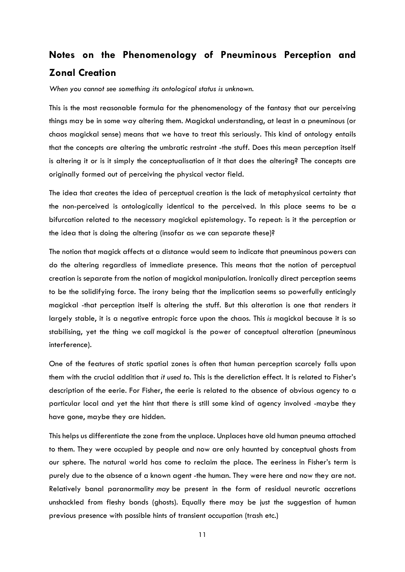## <span id="page-11-0"></span>**Notes on the Phenomenology of Pneuminous Perception and Zonal Creation**

*When you cannot see something its ontological status is unknown.*

This is the most reasonable formula for the phenomenology of the fantasy that our perceiving things may be in some way altering them. Magickal understanding, at least in a pneuminous (or chaos magickal sense) means that we have to treat this seriously. This kind of ontology entails that the concepts are altering the umbratic restraint -the stuff. Does this mean perception itself is altering it or is it simply the conceptualisation of it that does the altering? The concepts are originally formed out of perceiving the physical vector field.

The idea that creates the idea of perceptual creation is the lack of metaphysical certainty that the non-perceived is ontologically identical to the perceived. In this place seems to be a bifurcation related to the necessary magickal epistemology. To repeat: is it the perception or the idea that is doing the altering (insofar as we can separate these)?

The notion that magick affects at a distance would seem to indicate that pneuminous powers can do the altering regardless of immediate presence. This means that the notion of perceptual creation is separate from the notion of magickal manipulation. Ironically direct perception seems to be the solidifying force. The irony being that the implication seems so powerfully enticingly magickal -that perception itself is altering the stuff. But this alteration is one that renders it largely stable, it is a negative entropic force upon the chaos. This *is* magickal because it is so stabilising, yet the thing we *call* magickal is the power of conceptual alteration (pneuminous interference).

One of the features of static spatial zones is often that human perception scarcely falls upon them with the crucial addition that *it used to*. This is the dereliction effect. It is related to Fisher's description of the eerie. For Fisher, the eerie is related to the absence of obvious agency to a particular local and yet the hint that there is still some kind of agency involved -maybe they have gone, maybe they are hidden.

This helps us differentiate the zone from the unplace. Unplaces have old human pneuma attached to them. They were occupied by people and now are only haunted by conceptual ghosts from our sphere. The natural world has come to reclaim the place. The eeriness in Fisher's term is purely due to the absence of a known agent -the human. They were here and now they are not. Relatively banal paranormality *may* be present in the form of residual neurotic accretions unshackled from fleshy bonds (ghosts). Equally there may be just the suggestion of human previous presence with possible hints of transient occupation (trash etc.)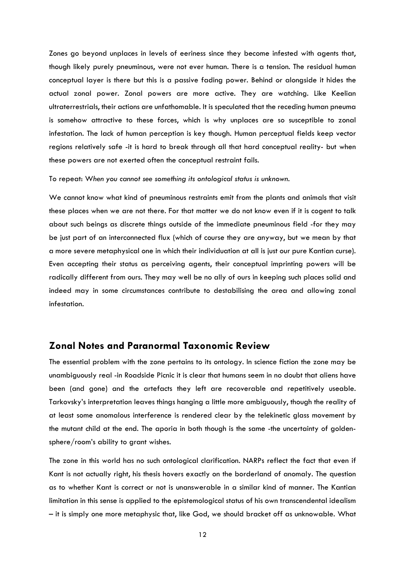Zones go beyond unplaces in levels of eeriness since they become infested with agents that, though likely purely pneuminous, were not ever human. There is a tension. The residual human conceptual layer is there but this is a passive fading power. Behind or alongside it hides the actual zonal power. Zonal powers are more active. They are watching. Like Keelian ultraterrestrials, their actions are unfathomable. It is speculated that the receding human pneuma is somehow attractive to these forces, which is why unplaces are so susceptible to zonal infestation. The lack of human perception is key though. Human perceptual fields keep vector regions relatively safe -it is hard to break through all that hard conceptual reality- but when these powers are not exerted often the conceptual restraint fails.

To repeat: W*hen you cannot see something its ontological status is unknown.*

We cannot know what kind of pneuminous restraints emit from the plants and animals that visit these places when we are not there. For that matter we do not know even if it is cogent to talk about such beings as discrete things outside of the immediate pneuminous field -for they may be just part of an interconnected flux (which of course they are anyway, but we mean by that a more severe metaphysical one in which their individuation at all is just our pure Kantian curse). Even accepting their status as perceiving agents, their conceptual imprinting powers will be radically different from ours. They may well be no ally of ours in keeping such places solid and indeed may in some circumstances contribute to destabilising the area and allowing zonal infestation.

#### <span id="page-12-0"></span>**Zonal Notes and Paranormal Taxonomic Review**

The essential problem with the zone pertains to its ontology. In science fiction the zone may be unambiguously real -in Roadside Picnic it is clear that humans seem in no doubt that aliens have been (and gone) and the artefacts they left are recoverable and repetitively useable. Tarkovsky's interpretation leaves things hanging a little more ambiguously, though the reality of at least some anomalous interference is rendered clear by the telekinetic glass movement by the mutant child at the end. The aporia in both though is the same -the uncertainty of goldensphere/room's ability to grant wishes.

The zone in this world has no such ontological clarification. NARPs reflect the fact that even if Kant is not actually right, his thesis hovers exactly on the borderland of anomaly. The question as to whether Kant is correct or not is unanswerable in a similar kind of manner. The Kantian limitation in this sense is applied to the epistemological status of his own transcendental idealism – it is simply one more metaphysic that, like God, we should bracket off as unknowable. What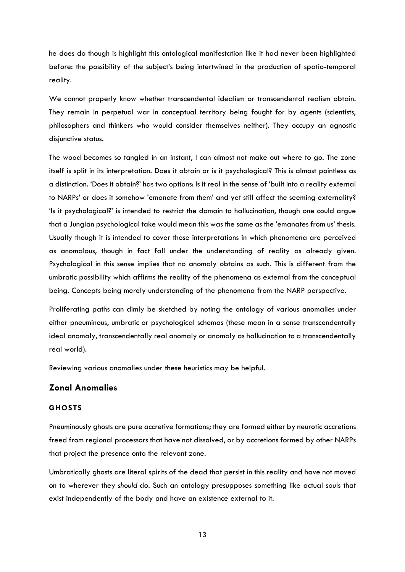he does do though is highlight this ontological manifestation like it had never been highlighted before: the possibility of the subject's being intertwined in the production of spatio-temporal reality.

We cannot properly know whether transcendental idealism or transcendental realism obtain. They remain in perpetual war in conceptual territory being fought for by agents (scientists, philosophers and thinkers who would consider themselves neither). They occupy an agnostic disjunctive status.

The wood becomes so tangled in an instant, I can almost not make out where to go. The zone itself is split in its interpretation. Does it obtain or is it psychological? This is almost pointless as a distinction. 'Does it obtain?' has two options: Is it real in the sense of 'built into a reality external to NARPs' or does it somehow 'emanate from them' and yet still affect the seeming externality? 'Is it psychological?' is intended to restrict the domain to hallucination, though one could argue that a Jungian psychological take would mean this was the same as the 'emanates from us' thesis. Usually though it is intended to cover those interpretations in which phenomena are perceived as anomalous, though in fact fall under the understanding of reality as already given. Psychological in this sense implies that no anomaly obtains as such. This is different from the umbratic possibility which affirms the reality of the phenomena as external from the conceptual being. Concepts being merely understanding of the phenomena from the NARP perspective.

Proliferating paths can dimly be sketched by noting the ontology of various anomalies under either pneuminous, umbratic or psychological schemas (these mean in a sense transcendentally ideal anomaly, transcendentally real anomaly or anomaly as hallucination to a transcendentally real world).

Reviewing various anomalies under these heuristics may be helpful.

#### **Zonal Anomalies**

#### **GHOSTS**

Pneuminously ghosts are pure accretive formations; they are formed either by neurotic accretions freed from regional processors that have not dissolved, or by accretions formed by other NARPs that project the presence onto the relevant zone.

Umbratically ghosts are literal spirits of the dead that persist in this reality and have not moved on to wherever they *should* do. Such an ontology presupposes something like actual souls that exist independently of the body and have an existence external to it.

13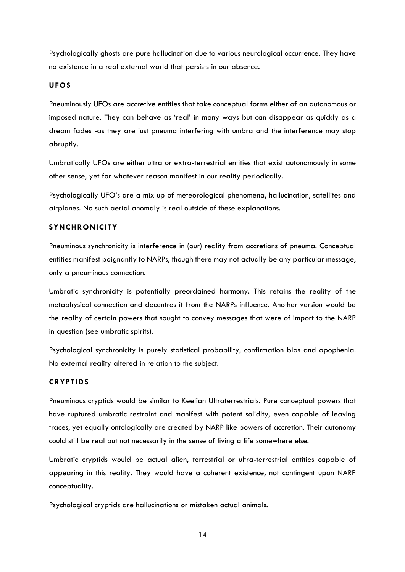Psychologically ghosts are pure hallucination due to various neurological occurrence. They have no existence in a real external world that persists in our absence.

#### **UFOS**

Pneuminously UFOs are accretive entities that take conceptual forms either of an autonomous or imposed nature. They can behave as 'real' in many ways but can disappear as quickly as a dream fades -as they are just pneuma interfering with umbra and the interference may stop abruptly.

Umbratically UFOs are either ultra or extra-terrestrial entities that exist autonomously in some other sense, yet for whatever reason manifest in our reality periodically.

Psychologically UFO's are a mix up of meteorological phenomena, hallucination, satellites and airplanes. No such aerial anomaly is real outside of these explanations.

#### **SYNCHRONICITY**

Pneuminous synchronicity is interference in (our) reality from accretions of pneuma. Conceptual entities manifest poignantly to NARPs, though there may not actually be any particular message, only a pneuminous connection.

Umbratic synchronicity is potentially preordained harmony. This retains the reality of the metaphysical connection and decentres it from the NARPs influence. Another version would be the reality of certain powers that sought to convey messages that were of import to the NARP in question (see umbratic spirits).

Psychological synchronicity is purely statistical probability, confirmation bias and apophenia. No external reality altered in relation to the subject.

#### **CRYPTIDS**

Pneuminous cryptids would be similar to Keelian Ultraterrestrials. Pure conceptual powers that have ruptured umbratic restraint and manifest with potent solidity, even capable of leaving traces, yet equally ontologically are created by NARP like powers of accretion. Their autonomy could still be real but not necessarily in the sense of living a life somewhere else.

Umbratic cryptids would be actual alien, terrestrial or ultra-terrestrial entities capable of appearing in this reality. They would have a coherent existence, not contingent upon NARP conceptuality.

Psychological cryptids are hallucinations or mistaken actual animals.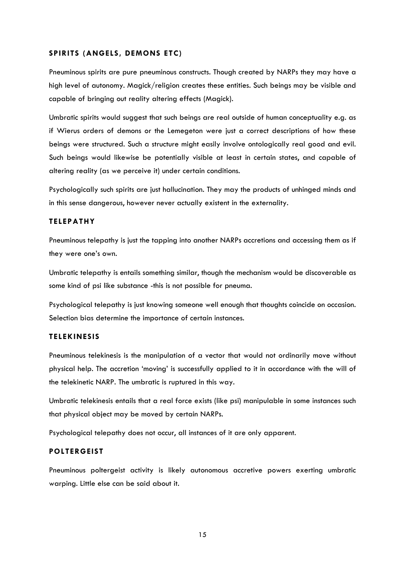#### **SPIRITS (ANGELS, DEMONS ETC)**

Pneuminous spirits are pure pneuminous constructs. Though created by NARPs they may have a high level of autonomy. Magick/religion creates these entities. Such beings may be visible and capable of bringing out reality altering effects (Magick).

Umbratic spirits would suggest that such beings are real outside of human conceptuality e.g. as if Wierus orders of demons or the Lemegeton were just a correct descriptions of how these beings were structured. Such a structure might easily involve ontologically real good and evil. Such beings would likewise be potentially visible at least in certain states, and capable of altering reality (as we perceive it) under certain conditions.

Psychologically such spirits are just hallucination. They may the products of unhinged minds and in this sense dangerous, however never actually existent in the externality.

#### **TELEPATHY**

Pneuminous telepathy is just the tapping into another NARPs accretions and accessing them as if they were one's own.

Umbratic telepathy is entails something similar, though the mechanism would be discoverable as some kind of psi like substance -this is not possible for pneuma.

Psychological telepathy is just knowing someone well enough that thoughts coincide on occasion. Selection bias determine the importance of certain instances.

#### **TELEKINESIS**

Pneuminous telekinesis is the manipulation of a vector that would not ordinarily move without physical help. The accretion 'moving' is successfully applied to it in accordance with the will of the telekinetic NARP. The umbratic is ruptured in this way.

Umbratic telekinesis entails that a real force exists (like psi) manipulable in some instances such that physical object may be moved by certain NARPs.

Psychological telepathy does not occur, all instances of it are only apparent.

#### **POLTERGEIST**

Pneuminous poltergeist activity is likely autonomous accretive powers exerting umbratic warping. Little else can be said about it.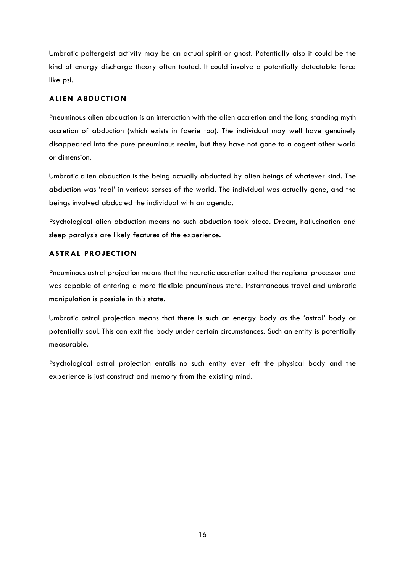Umbratic poltergeist activity may be an actual spirit or ghost. Potentially also it could be the kind of energy discharge theory often touted. It could involve a potentially detectable force like psi.

#### **ALIEN ABDUCTION**

Pneuminous alien abduction is an interaction with the alien accretion and the long standing myth accretion of abduction (which exists in faerie too). The individual may well have genuinely disappeared into the pure pneuminous realm, but they have not gone to a cogent other world or dimension.

Umbratic alien abduction is the being actually abducted by alien beings of whatever kind. The abduction was 'real' in various senses of the world. The individual was actually gone, and the beings involved abducted the individual with an agenda.

Psychological alien abduction means no such abduction took place. Dream, hallucination and sleep paralysis are likely features of the experience.

#### **ASTRAL PROJECTION**

Pneuminous astral projection means that the neurotic accretion exited the regional processor and was capable of entering a more flexible pneuminous state. Instantaneous travel and umbratic manipulation is possible in this state.

Umbratic astral projection means that there is such an energy body as the 'astral' body or potentially soul. This can exit the body under certain circumstances. Such an entity is potentially measurable.

Psychological astral projection entails no such entity ever left the physical body and the experience is just construct and memory from the existing mind.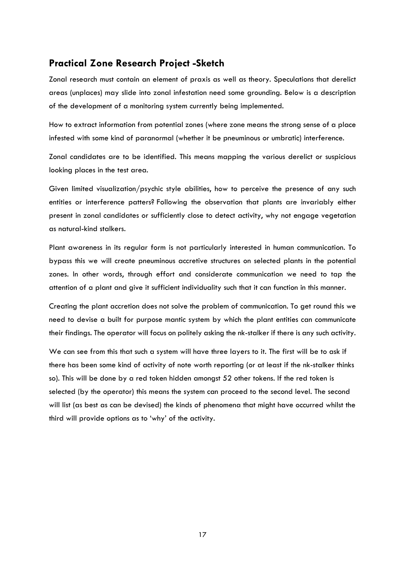## <span id="page-17-0"></span>**Practical Zone Research Project -Sketch**

Zonal research must contain an element of praxis as well as theory. Speculations that derelict areas (unplaces) may slide into zonal infestation need some grounding. Below is a description of the development of a monitoring system currently being implemented.

How to extract information from potential zones (where zone means the strong sense of a place infested with some kind of paranormal (whether it be pneuminous or umbratic) interference.

Zonal candidates are to be identified. This means mapping the various derelict or suspicious looking places in the test area.

Given limited visualization/psychic style abilities, how to perceive the presence of any such entities or interference patters? Following the observation that plants are invariably either present in zonal candidates or sufficiently close to detect activity, why not engage vegetation as natural-kind stalkers.

Plant awareness in its regular form is not particularly interested in human communication. To bypass this we will create pneuminous accretive structures on selected plants in the potential zones. In other words, through effort and considerate communication we need to tap the attention of a plant and give it sufficient individuality such that it can function in this manner.

Creating the plant accretion does not solve the problem of communication. To get round this we need to devise a built for purpose mantic system by which the plant entities can communicate their findings. The operator will focus on politely asking the nk-stalker if there is any such activity.

We can see from this that such a system will have three layers to it. The first will be to ask if there has been some kind of activity of note worth reporting (or at least if the nk-stalker thinks so). This will be done by a red token hidden amongst 52 other tokens. If the red token is selected (by the operator) this means the system can proceed to the second level. The second will list (as best as can be devised) the kinds of phenomena that might have occurred whilst the third will provide options as to 'why' of the activity.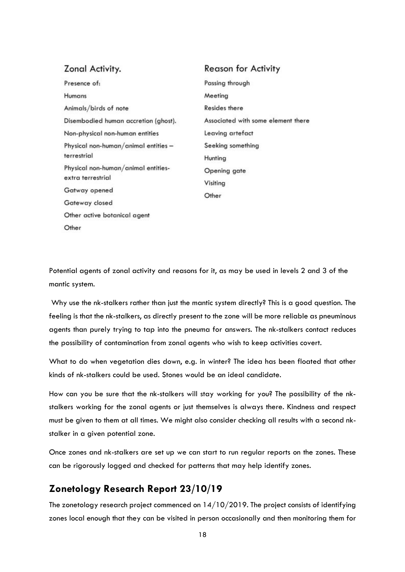| Zonal Activity.                                          | <b>Reason for Activity</b>         |
|----------------------------------------------------------|------------------------------------|
| Presence of:                                             | Passing through                    |
| Humans                                                   | Meeting                            |
| Animals/birds of note                                    | Resides there                      |
| Disembodied human accretion (ghost).                     | Associated with some element there |
| Non-physical non-human entities                          | Leaving artefact                   |
| Physical non-human/animal entities -<br>terrestrial      | Seeking something                  |
|                                                          | Hunting                            |
| Physical non-human/animal entities-<br>extra terrestrial | Opening gate                       |
|                                                          | Visiting                           |
| Gatway opened                                            | Other                              |
| Gateway closed                                           |                                    |
| Other active botanical agent                             |                                    |
| Other                                                    |                                    |

Potential agents of zonal activity and reasons for it, as may be used in levels 2 and 3 of the mantic system.

Why use the nk-stalkers rather than just the mantic system directly? This is a good question. The feeling is that the nk-stalkers, as directly present to the zone will be more reliable as pneuminous agents than purely trying to tap into the pneuma for answers. The nk-stalkers contact reduces the possibility of contamination from zonal agents who wish to keep activities covert.

What to do when vegetation dies down, e.g. in winter? The idea has been floated that other kinds of nk-stalkers could be used. Stones would be an ideal candidate.

How can you be sure that the nk-stalkers will stay working for you? The possibility of the nkstalkers working for the zonal agents or just themselves is always there. Kindness and respect must be given to them at all times. We might also consider checking all results with a second nkstalker in a given potential zone.

Once zones and nk-stalkers are set up we can start to run regular reports on the zones. These can be rigorously logged and checked for patterns that may help identify zones.

## <span id="page-18-0"></span>**[Zonetology Research Report](https://centreforexperimentalontology.com/2019/10/23/zonetology-research-report-23-10-19/) 23/10/19**

The zonetology research project commenced on 14/10/2019. The project consists of identifying zones local enough that they can be visited in person occasionally and then monitoring them for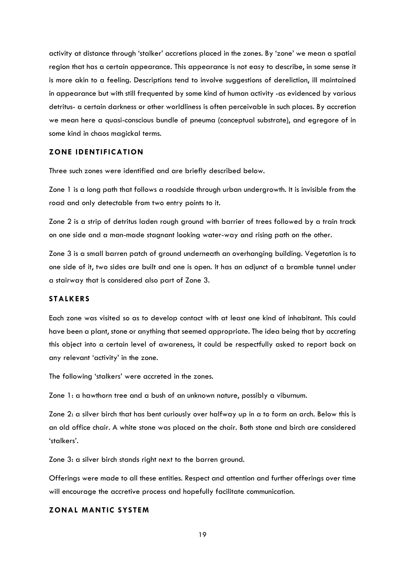activity at distance through 'stalker' accretions placed in the zones. By 'zone' we mean a spatial region that has a certain appearance. This appearance is not easy to describe, in some sense it is more akin to a feeling. Descriptions tend to involve suggestions of dereliction, ill maintained in appearance but with still frequented by some kind of human activity -as evidenced by various detritus- a certain darkness or other worldliness is often perceivable in such places. By accretion we mean here a quasi-conscious bundle of pneuma (conceptual substrate), and egregore of in some kind in chaos magickal terms.

#### **ZONE IDENTIFICATION**

Three such zones were identified and are briefly described below.

Zone 1 is a long path that follows a roadside through urban undergrowth. It is invisible from the road and only detectable from two entry points to it.

Zone 2 is a strip of detritus laden rough ground with barrier of trees followed by a train track on one side and a man-made stagnant looking water-way and rising path on the other.

Zone 3 is a small barren patch of ground underneath an overhanging building. Vegetation is to one side of it, two sides are built and one is open. It has an adjunct of a bramble tunnel under a stairway that is considered also part of Zone 3.

#### **STALKERS**

Each zone was visited so as to develop contact with at least one kind of inhabitant. This could have been a plant, stone or anything that seemed appropriate. The idea being that by accreting this object into a certain level of awareness, it could be respectfully asked to report back on any relevant 'activity' in the zone.

The following 'stalkers' were accreted in the zones.

Zone 1: a hawthorn tree and a bush of an unknown nature, possibly a viburnum.

Zone 2: a silver birch that has bent curiously over halfway up in a to form an arch. Below this is an old office chair. A white stone was placed on the chair. Both stone and birch are considered 'stalkers'.

Zone 3: a silver birch stands right next to the barren ground.

Offerings were made to all these entities. Respect and attention and further offerings over time will encourage the accretive process and hopefully facilitate communication.

#### **ZONAL MANTIC SYSTEM**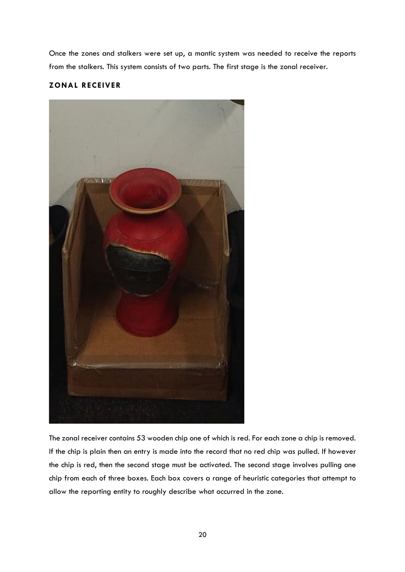Once the zones and stalkers were set up, a mantic system was needed to receive the reports from the stalkers. This system consists of two parts. The first stage is the zonal receiver.

#### **ZONAL RECEIVER**



The zonal receiver contains 53 wooden chip one of which is red. For each zone a chip is removed. If the chip is plain then an entry is made into the record that no red chip was pulled. If however the chip is red, then the second stage must be activated. The second stage involves pulling one chip from each of three boxes. Each box covers a range of heuristic categories that attempt to allow the reporting entity to roughly describe what occurred in the zone.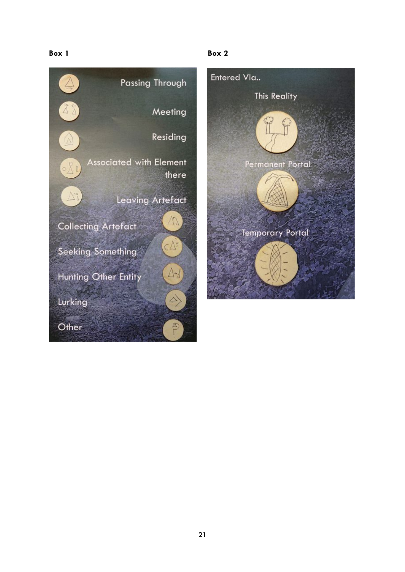#### **Box 1 Box 2**





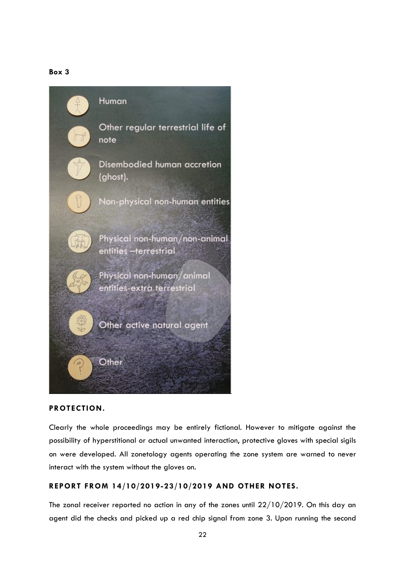#### **Box 3**



#### **PROTECTION.**

Clearly the whole proceedings may be entirely fictional. However to mitigate against the possibility of hyperstitional or actual unwanted interaction, protective gloves with special sigils on were developed. All zonetology agents operating the zone system are warned to never interact with the system without the gloves on.

#### **REPORT FROM 14/10/2019-23/10/2019 AND OTHER NOTES.**

The zonal receiver reported no action in any of the zones until 22/10/2019. On this day an agent did the checks and picked up a red chip signal from zone 3. Upon running the second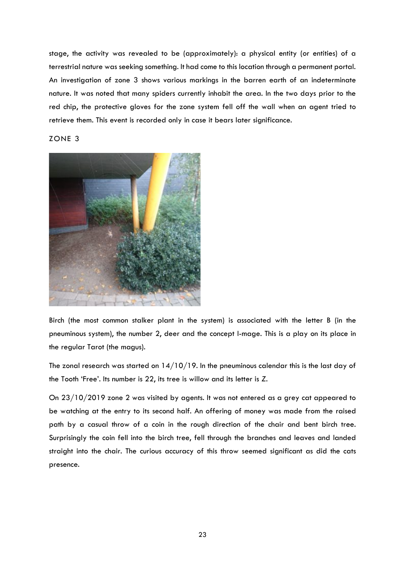stage, the activity was revealed to be (approximately): a physical entity (or entities) of a terrestrial nature was seeking something. It had come to this location through a permanent portal. An investigation of zone 3 shows various markings in the barren earth of an indeterminate nature. It was noted that many spiders currently inhabit the area. In the two days prior to the red chip, the protective gloves for the zone system fell off the wall when an agent tried to retrieve them. This event is recorded only in case it bears later significance.

#### ZONE 3



Birch (the most common stalker plant in the system) is associated with the letter B (in the pneuminous system), the number 2, deer and the concept I-mage. This is a play on its place in the regular Tarot (the magus).

The zonal research was started on  $14/10/19$ . In the pneuminous calendar this is the last day of the Tooth 'Free'. Its number is 22, its tree is willow and its letter is *Z.*

On 23/10/2019 zone 2 was visited by agents. It was not entered as a grey cat appeared to be watching at the entry to its second half. An offering of money was made from the raised path by a casual throw of a coin in the rough direction of the chair and bent birch tree. Surprisingly the coin fell into the birch tree, fell through the branches and leaves and landed straight into the chair. The curious accuracy of this throw seemed significant as did the cats presence.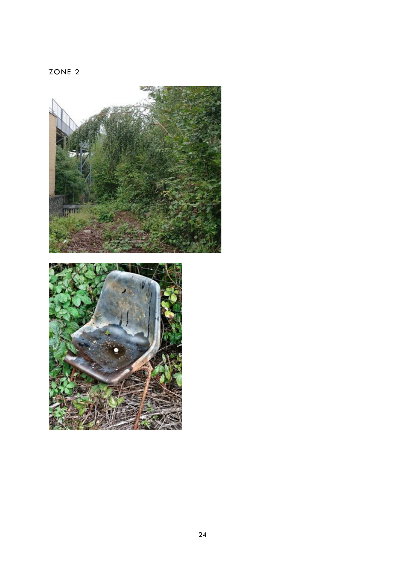ZONE 2

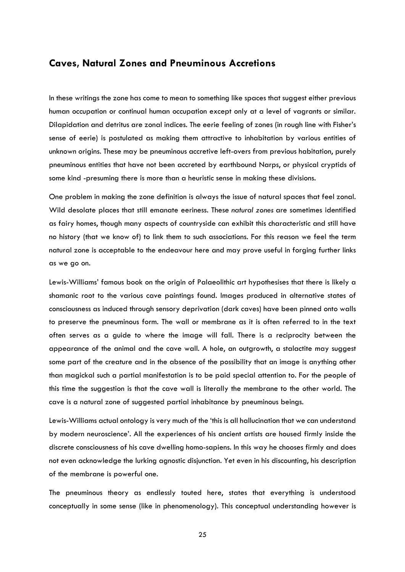#### <span id="page-25-0"></span>**Caves, Natural Zones and Pneuminous Accretions**

In these writings the zone has come to mean to something like spaces that suggest either previous human occupation or continual human occupation except only at a level of vagrants or similar. Dilapidation and detritus are zonal indices. The eerie feeling of zones (in rough line with Fisher's sense of eerie) is postulated as making them attractive to inhabitation by various entities of unknown origins. These may be pneuminous accretive left-overs from previous habitation, purely pneuminous entities that have not been accreted by earthbound Narps, or physical cryptids of some kind -presuming there is more than a heuristic sense in making these divisions.

One problem in making the zone definition is always the issue of natural spaces that feel zonal. Wild desolate places that still emanate eeriness. These *natural zones* are sometimes identified as fairy homes, though many aspects of countryside can exhibit this characteristic and still have no history (that we know of) to link them to such associations. For this reason we feel the term natural zone is acceptable to the endeavour here and may prove useful in forging further links as we go on.

Lewis-Williams' famous book on the origin of Palaeolithic art hypothesises that there is likely a shamanic root to the various cave paintings found. Images produced in alternative states of consciousness as induced through sensory deprivation (dark caves) have been pinned onto walls to preserve the pneuminous form. The wall or membrane as it is often referred to in the text often serves as a guide to where the image will fall. There is a reciprocity between the appearance of the animal and the cave wall. A hole, an outgrowth, a stalactite may suggest some part of the creature and in the absence of the possibility that an image is anything other than magickal such a partial manifestation is to be paid special attention to. For the people of this time the suggestion is that the cave wall is literally the membrane to the other world. The cave is a natural zone of suggested partial inhabitance by pneuminous beings.

Lewis-Williams actual ontology is very much of the 'this is all hallucination that we can understand by modern neuroscience'. All the experiences of his ancient artists are housed firmly inside the discrete consciousness of his cave dwelling homo-sapiens. In this way he chooses firmly and does not even acknowledge the lurking agnostic disjunction. Yet even in his discounting, his description of the membrane is powerful one.

The pneuminous theory as endlessly touted here, states that everything is understood conceptually in some sense (like in phenomenology). This conceptual understanding however is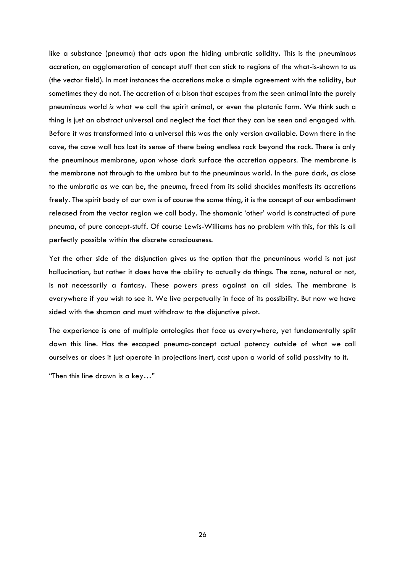like a substance (pneuma) that acts upon the hiding umbratic solidity. This is the pneuminous accretion, an agglomeration of concept stuff that can stick to regions of the what-is-shown to us (the vector field). In most instances the accretions make a simple agreement with the solidity, but sometimes they do not. The accretion of a bison that escapes from the seen animal into the purely pneuminous world *is* what we call the spirit animal, or even the platonic form. We think such a thing is just an abstract universal and neglect the fact that they can be seen and engaged with. Before it was transformed into a universal this was the only version available. Down there in the cave, the cave wall has lost its sense of there being endless rock beyond the rock. There is only the pneuminous membrane, upon whose dark surface the accretion appears. The membrane is the membrane not through to the umbra but to the pneuminous world. In the pure dark, as close to the umbratic as we can be, the pneuma, freed from its solid shackles manifests its accretions freely. The spirit body of our own is of course the same thing, it is the concept of our embodiment released from the vector region we call body. The shamanic 'other' world is constructed of pure pneuma, of pure concept-stuff. Of course Lewis-Williams has no problem with this, for this is all perfectly possible within the discrete consciousness.

Yet the other side of the disjunction gives us the option that the pneuminous world is not just hallucination, but rather it does have the ability to actually *do* things. The zone, natural or not, is not necessarily a fantasy. These powers press against on all sides. The membrane is everywhere if you wish to see it. We live perpetually in face of its possibility. But now we have sided with the shaman and must withdraw to the disjunctive pivot.

The experience is one of multiple ontologies that face us everywhere, yet fundamentally split down this line. Has the escaped pneuma-concept actual potency outside of what we call ourselves or does it just operate in projections inert, cast upon a world of solid passivity to it.

"Then this line drawn is a key…"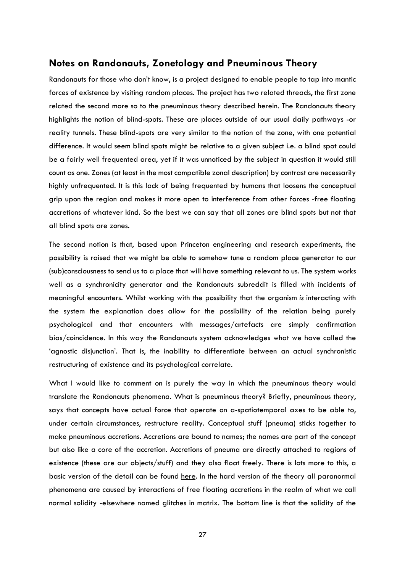#### <span id="page-27-0"></span>**Notes on Randonauts, Zonetology and Pneuminous Theory**

Randonauts for those who don't know, is a project designed to enable people to tap into mantic forces of existence by visiting random places. The project has two related threads, the first zone related the second more so to the pneuminous theory described herein. The Randonauts theory highlights the notion of blind-spots. These are places outside of our usual daily pathways -or reality tunnels. These blind-spots are very similar to the notion of the [zone,](https://centreforexperimentalontology.com/what-is-zonetology/) with one potential difference. It would seem blind spots might be relative to a given subject i.e. a blind spot could be a fairly well frequented area, yet if it was unnoticed by the subject in question it would still count as one. Zones (at least in the most compatible zonal description) by contrast are necessarily highly unfrequented. It is this lack of being frequented by humans that loosens the conceptual grip upon the region and makes it more open to interference from other forces -free floating accretions of whatever kind. So the best we can say that all zones are blind spots but not that all blind spots are zones.

The second notion is that, based upon Princeton engineering and research experiments, the possibility is raised that we might be able to somehow tune a random place generator to our (sub)consciousness to send us to a place that will have something relevant to us. The system works well as a synchronicity generator and the Randonauts subreddit is filled with incidents of meaningful encounters. Whilst working with the possibility that the organism *is* interacting with the system the explanation does allow for the possibility of the relation being purely psychological and that encounters with messages/artefacts are simply confirmation bias/coincidence. In this way the Randonauts system acknowledges what we have called the 'agnostic disjunction'. That is, the inability to differentiate between an actual synchronistic restructuring of existence and its psychological correlate.

What I would like to comment on is purely the way in which the pneuminous theory would translate the Randonauts phenomena. What is pneuminous theory? Briefly, pneuminous theory, says that concepts have actual force that operate on a-spatiotemporal axes to be able to, under certain circumstances, restructure reality. Conceptual stuff (pneuma) sticks together to make pneuminous accretions. Accretions are bound to names; the names are part of the concept but also like a core of the accretion. Accretions of pneuma are directly attached to regions of existence (these are our objects/stuff) and they also float freely. There is lots more to this, a basic version of the detail can be found [here.](https://centreforexperimentalontology.com/introduction-to-the-theory-of-pneuminous-accretions-a-phenomenological-chaos-magickal-ontology/) In the hard version of the theory all paranormal phenomena are caused by interactions of free floating accretions in the realm of what we call normal solidity -elsewhere named glitches in matrix. The bottom line is that the solidity of the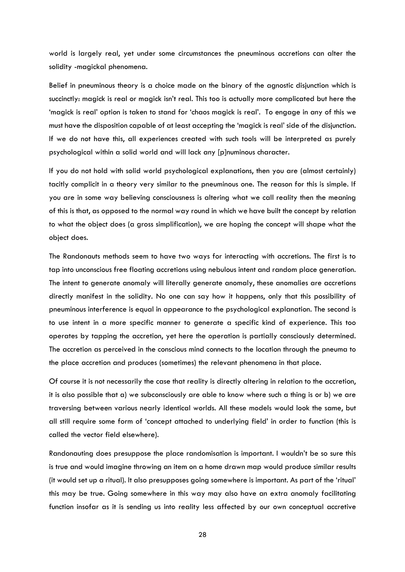world is largely real, yet under some circumstances the pneuminous accretions can alter the solidity -magickal phenomena.

Belief in pneuminous theory is a choice made on the binary of the agnostic disjunction which is succinctly: magick is real or magick isn't real. This too is actually more complicated but here the 'magick is real' option is taken to stand for 'chaos magick is real'. To engage in any of this we must have the disposition capable of at least accepting the 'magick is real' side of the disjunction. If we do not have this, all experiences created with such tools will be interpreted as purely psychological within a solid world and will lack any [p]numinous character.

If you do not hold with solid world psychological explanations, then you are (almost certainly) tacitly complicit in a theory very similar to the pneuminous one. The reason for this is simple. If you are in some way believing consciousness is altering what we call reality then the meaning of this is that, as opposed to the normal way round in which we have built the concept by relation to what the object does (a gross simplification), we are hoping the concept will shape what the object does.

The Randonauts methods seem to have two ways for interacting with accretions. The first is to tap into unconscious free floating accretions using nebulous intent and random place generation. The intent to generate anomaly will literally generate anomaly, these anomalies are accretions directly manifest in the solidity. No one can say how it happens, only that this possibility of pneuminous interference is equal in appearance to the psychological explanation. The second is to use intent in a more specific manner to generate a specific kind of experience. This too operates by tapping the accretion, yet here the operation is partially consciously determined. The accretion as perceived in the conscious mind connects to the location through the pneuma to the place accretion and produces (sometimes) the relevant phenomena in that place.

Of course it is not necessarily the case that reality is directly altering in relation to the accretion, it is also possible that a) we subconsciously are able to know where such a thing is or b) we are traversing between various nearly identical worlds. All these models would look the same, but all still require some form of 'concept attached to underlying field' in order to function (this is called the vector field elsewhere).

Randonauting does presuppose the place randomisation is important. I wouldn't be so sure this is true and would imagine throwing an item on a home drawn map would produce similar results (it would set up a ritual). It also presupposes going somewhere is important. As part of the 'ritual' this may be true. Going somewhere in this way may also have an extra anomaly facilitating function insofar as it is sending us into reality less affected by our own conceptual accretive

28